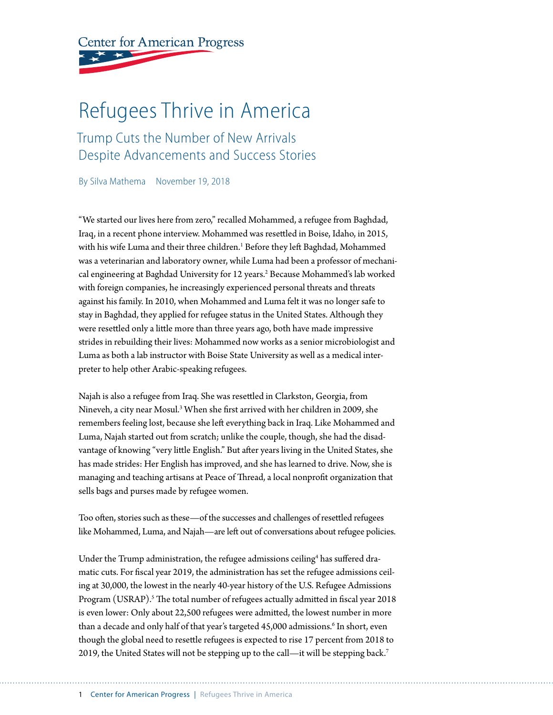**Center for American Progress** 

# Refugees Thrive in America

Trump Cuts the Number of New Arrivals Despite Advancements and Success Stories

By Silva Mathema November 19, 2018

"We started our lives here from zero," recalled Mohammed, a refugee from Baghdad, Iraq, in a recent phone interview. Mohammed was resettled in Boise, Idaho, in 2015, with his wife Luma and their three children.<sup>1</sup> Before they left Baghdad, Mohammed was a veterinarian and laboratory owner, while Luma had been a professor of mechanical engineering at Baghdad University for 12 years.<sup>2</sup> Because Mohammed's lab worked with foreign companies, he increasingly experienced personal threats and threats against his family. In 2010, when Mohammed and Luma felt it was no longer safe to stay in Baghdad, they applied for refugee status in the United States. Although they were resettled only a little more than three years ago, both have made impressive strides in rebuilding their lives: Mohammed now works as a senior microbiologist and Luma as both a lab instructor with Boise State University as well as a medical interpreter to help other Arabic-speaking refugees.

Najah is also a refugee from Iraq. She was resettled in Clarkston, Georgia, from Nineveh, a city near Mosul.<sup>3</sup> When she first arrived with her children in 2009, she remembers feeling lost, because she left everything back in Iraq. Like Mohammed and Luma, Najah started out from scratch; unlike the couple, though, she had the disadvantage of knowing "very little English." But after years living in the United States, she has made strides: Her English has improved, and she has learned to drive. Now, she is managing and teaching artisans at Peace of Thread, a local nonprofit organization that sells bags and purses made by refugee women.

Too often, stories such as these—of the successes and challenges of resettled refugees like Mohammed, Luma, and Najah—are left out of conversations about refugee policies.

Under the Trump administration, the refugee admissions ceiling $^4$  has suffered dramatic cuts. For fiscal year 2019, the administration has set the refugee admissions ceiling at 30,000, the lowest in the nearly 40-year history of the U.S. Refugee Admissions Program (USRAP).<sup>5</sup> The total number of refugees actually admitted in fiscal year 2018 is even lower: Only about 22,500 refugees were admitted, the lowest number in more than a decade and only half of that year's targeted 45,000 admissions.<sup>6</sup> In short, even though the global need to resettle refugees is expected to rise 17 percent from 2018 to 2019, the United States will not be stepping up to the call—it will be stepping back.7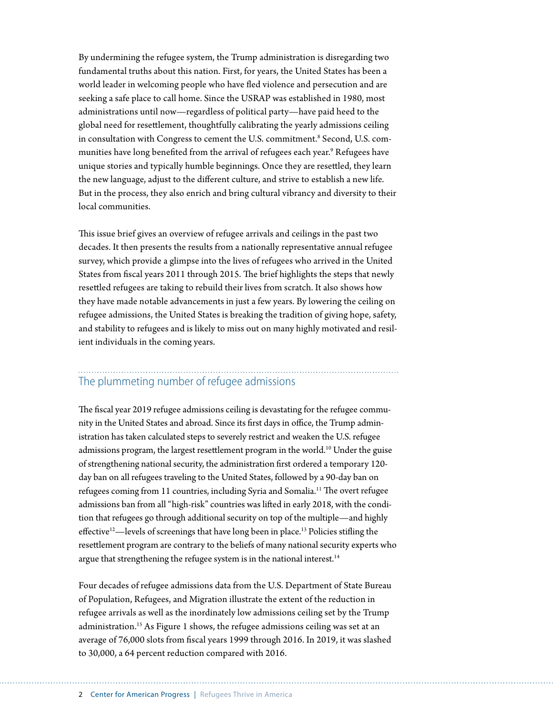By undermining the refugee system, the Trump administration is disregarding two fundamental truths about this nation. First, for years, the United States has been a world leader in welcoming people who have fled violence and persecution and are seeking a safe place to call home. Since the USRAP was established in 1980, most administrations until now—regardless of political party—have paid heed to the global need for resettlement, thoughtfully calibrating the yearly admissions ceiling in consultation with Congress to cement the U.S. commitment.<sup>8</sup> Second, U.S. communities have long benefited from the arrival of refugees each year.9 Refugees have unique stories and typically humble beginnings. Once they are resettled, they learn the new language, adjust to the different culture, and strive to establish a new life. But in the process, they also enrich and bring cultural vibrancy and diversity to their local communities.

This issue brief gives an overview of refugee arrivals and ceilings in the past two decades. It then presents the results from a nationally representative annual refugee survey, which provide a glimpse into the lives of refugees who arrived in the United States from fiscal years 2011 through 2015. The brief highlights the steps that newly resettled refugees are taking to rebuild their lives from scratch. It also shows how they have made notable advancements in just a few years. By lowering the ceiling on refugee admissions, the United States is breaking the tradition of giving hope, safety, and stability to refugees and is likely to miss out on many highly motivated and resilient individuals in the coming years.

### The plummeting number of refugee admissions

The fiscal year 2019 refugee admissions ceiling is devastating for the refugee community in the United States and abroad. Since its first days in office, the Trump administration has taken calculated steps to severely restrict and weaken the U.S. refugee admissions program, the largest resettlement program in the world.<sup>10</sup> Under the guise of strengthening national security, the administration first ordered a temporary 120 day ban on all refugees traveling to the United States, followed by a 90-day ban on refugees coming from 11 countries, including Syria and Somalia.11 The overt refugee admissions ban from all "high-risk" countries was lifted in early 2018, with the condition that refugees go through additional security on top of the multiple—and highly effective<sup>12</sup>—levels of screenings that have long been in place.<sup>13</sup> Policies stifling the resettlement program are contrary to the beliefs of many national security experts who argue that strengthening the refugee system is in the national interest.<sup>14</sup>

Four decades of refugee admissions data from the U.S. Department of State Bureau of Population, Refugees, and Migration illustrate the extent of the reduction in refugee arrivals as well as the inordinately low admissions ceiling set by the Trump administration.15 As Figure 1 shows, the refugee admissions ceiling was set at an average of 76,000 slots from fiscal years 1999 through 2016. In 2019, it was slashed to 30,000, a 64 percent reduction compared with 2016.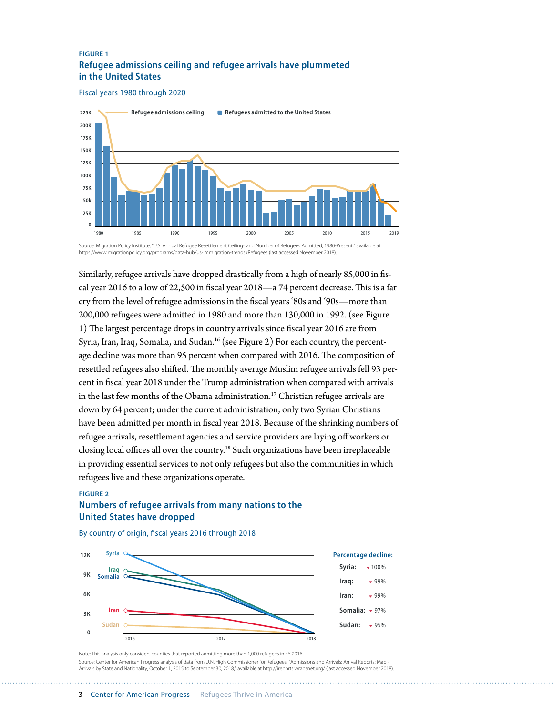#### **FIGURE 1 Refugee admissions ceiling and refugee arrivals have plummeted in the United States**

Fiscal years 1980 through 2020



https://www.migrationpolicy.org/programs/data-hub/us-immigration-trends#Refugees (last accessed November 2018).

Similarly, refugee arrivals have dropped drastically from a high of nearly 85,000 in fiscal year 2016 to a low of 22,500 in fiscal year 2018—a 74 percent decrease. This is a far cry from the level of refugee admissions in the fiscal years '80s and '90s—more than 200,000 refugees were admitted in 1980 and more than 130,000 in 1992. (see Figure 1) The largest percentage drops in country arrivals since fiscal year 2016 are from Syria, Iran, Iraq, Somalia, and Sudan.<sup>16</sup> (see Figure 2) For each country, the percentage decline was more than 95 percent when compared with 2016. The composition of resettled refugees also shifted. The monthly average Muslim refugee arrivals fell 93 percent in fiscal year 2018 under the Trump administration when compared with arrivals in the last few months of the Obama administration.<sup>17</sup> Christian refugee arrivals are down by 64 percent; under the current administration, only two Syrian Christians have been admitted per month in fiscal year 2018. Because of the shrinking numbers of refugee arrivals, resettlement agencies and service providers are laying off workers or closing local offices all over the country.18 Such organizations have been irreplaceable in providing essential services to not only refugees but also the communities in which refugees live and these organizations operate.

#### **FIGURE 2 Numbers of refugee arrivals from many nations to the United States have dropped**



By country of origin, fiscal years 2016 through 2018

Note: This analysis only considers counties that reported admitting more than 1,000 refugees in FY 2016. Source: Center for American Progress analysis of data from U.N. High Commissioner for Refugees, "Admissions and Arrivals: Arrival Reports: Map - Arrivals by State and Nationality, October 1, 2015 to September 30, 2018," available at http://ireports.wrapsnet.org/ (last accessed November 2018).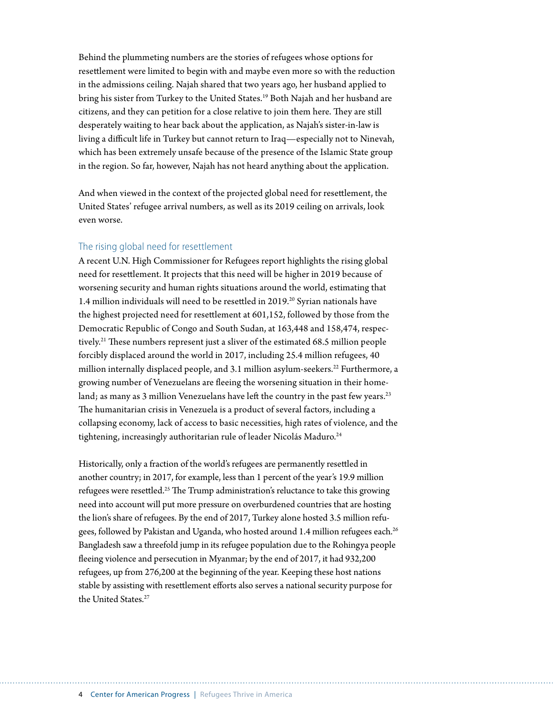Behind the plummeting numbers are the stories of refugees whose options for resettlement were limited to begin with and maybe even more so with the reduction in the admissions ceiling. Najah shared that two years ago, her husband applied to bring his sister from Turkey to the United States.<sup>19</sup> Both Najah and her husband are citizens, and they can petition for a close relative to join them here. They are still desperately waiting to hear back about the application, as Najah's sister-in-law is living a difficult life in Turkey but cannot return to Iraq—especially not to Ninevah, which has been extremely unsafe because of the presence of the Islamic State group in the region. So far, however, Najah has not heard anything about the application.

And when viewed in the context of the projected global need for resettlement, the United States' refugee arrival numbers, as well as its 2019 ceiling on arrivals, look even worse.

#### The rising global need for resettlement

A recent U.N. High Commissioner for Refugees report highlights the rising global need for resettlement. It projects that this need will be higher in 2019 because of worsening security and human rights situations around the world, estimating that 1.4 million individuals will need to be resettled in 2019.20 Syrian nationals have the highest projected need for resettlement at 601,152, followed by those from the Democratic Republic of Congo and South Sudan, at 163,448 and 158,474, respectively.21 These numbers represent just a sliver of the estimated 68.5 million people forcibly displaced around the world in 2017, including 25.4 million refugees, 40 million internally displaced people, and 3.1 million asylum-seekers.<sup>22</sup> Furthermore, a growing number of Venezuelans are fleeing the worsening situation in their homeland; as many as 3 million Venezuelans have left the country in the past few years.<sup>23</sup> The humanitarian crisis in Venezuela is a product of several factors, including a collapsing economy, lack of access to basic necessities, high rates of violence, and the tightening, increasingly authoritarian rule of leader Nicolás Maduro.<sup>24</sup>

Historically, only a fraction of the world's refugees are permanently resettled in another country; in 2017, for example, less than 1 percent of the year's 19.9 million refugees were resettled.25 The Trump administration's reluctance to take this growing need into account will put more pressure on overburdened countries that are hosting the lion's share of refugees. By the end of 2017, Turkey alone hosted 3.5 million refugees, followed by Pakistan and Uganda, who hosted around 1.4 million refugees each.<sup>26</sup> Bangladesh saw a threefold jump in its refugee population due to the Rohingya people fleeing violence and persecution in Myanmar; by the end of 2017, it had 932,200 refugees, up from 276,200 at the beginning of the year. Keeping these host nations stable by assisting with resettlement efforts also serves a national security purpose for the United States<sup>27</sup>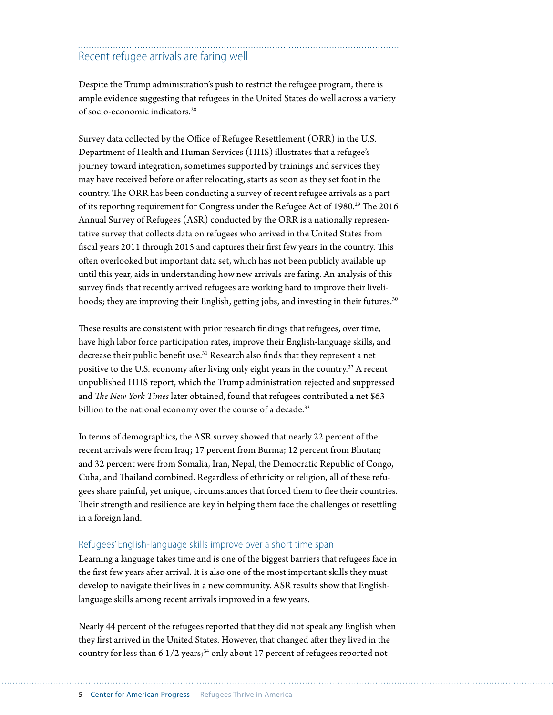### Recent refugee arrivals are faring well

Despite the Trump administration's push to restrict the refugee program, there is ample evidence suggesting that refugees in the United States do well across a variety of socio-economic indicators.28

Survey data collected by the Office of Refugee Resettlement (ORR) in the U.S. Department of Health and Human Services (HHS) illustrates that a refugee's journey toward integration, sometimes supported by trainings and services they may have received before or after relocating, starts as soon as they set foot in the country. The ORR has been conducting a survey of recent refugee arrivals as a part of its reporting requirement for Congress under the Refugee Act of 1980.<sup>29</sup> The 2016 Annual Survey of Refugees (ASR) conducted by the ORR is a nationally representative survey that collects data on refugees who arrived in the United States from fiscal years 2011 through 2015 and captures their first few years in the country. This often overlooked but important data set, which has not been publicly available up until this year, aids in understanding how new arrivals are faring. An analysis of this survey finds that recently arrived refugees are working hard to improve their livelihoods; they are improving their English, getting jobs, and investing in their futures.<sup>30</sup>

These results are consistent with prior research findings that refugees, over time, have high labor force participation rates, improve their English-language skills, and decrease their public benefit use.<sup>31</sup> Research also finds that they represent a net positive to the U.S. economy after living only eight years in the country.32 A recent unpublished HHS report, which the Trump administration rejected and suppressed and *The New York Times* later obtained, found that refugees contributed a net \$63 billion to the national economy over the course of a decade.<sup>33</sup>

In terms of demographics, the ASR survey showed that nearly 22 percent of the recent arrivals were from Iraq; 17 percent from Burma; 12 percent from Bhutan; and 32 percent were from Somalia, Iran, Nepal, the Democratic Republic of Congo, Cuba, and Thailand combined. Regardless of ethnicity or religion, all of these refugees share painful, yet unique, circumstances that forced them to flee their countries. Their strength and resilience are key in helping them face the challenges of resettling in a foreign land.

#### Refugees' English-language skills improve over a short time span

Learning a language takes time and is one of the biggest barriers that refugees face in the first few years after arrival. It is also one of the most important skills they must develop to navigate their lives in a new community. ASR results show that Englishlanguage skills among recent arrivals improved in a few years.

Nearly 44 percent of the refugees reported that they did not speak any English when they first arrived in the United States. However, that changed after they lived in the country for less than 6  $1/2$  years;<sup>34</sup> only about 17 percent of refugees reported not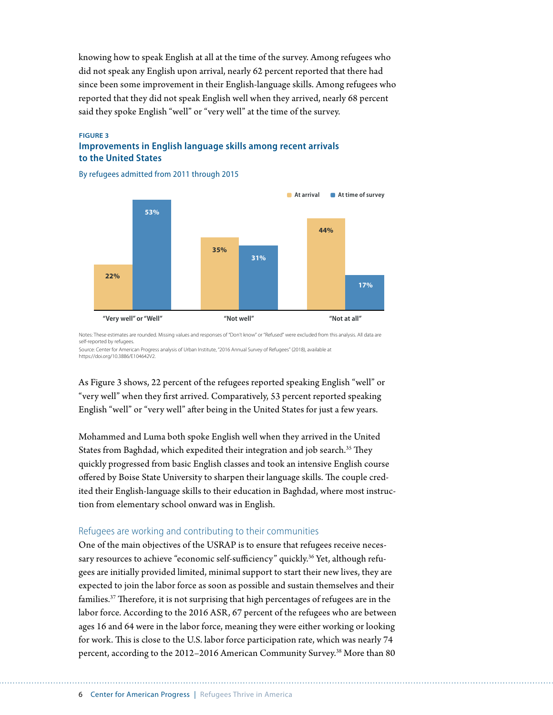knowing how to speak English at all at the time of the survey. Among refugees who did not speak any English upon arrival, nearly 62 percent reported that there had since been some improvement in their English-language skills. Among refugees who reported that they did not speak English well when they arrived, nearly 68 percent said they spoke English "well" or "very well" at the time of the survey.

#### **FIGURE 3 Improvements in English language skills among recent arrivals to the United States**

By refugees admitted from 2011 through 2015



Notes: These estimates are rounded. Missing values and responses of "Don't know" or "Refused" were excluded from this analysis. All data are self-reported by refugees.

Source: Center for American Progress analysis of Urban Institute, "2016 Annual Survey of Refugees" (2018), available at https://doi.org/10.3886/E104642V2.

As Figure 3 shows, 22 percent of the refugees reported speaking English "well" or "very well" when they first arrived. Comparatively, 53 percent reported speaking English "well" or "very well" after being in the United States for just a few years.

Mohammed and Luma both spoke English well when they arrived in the United States from Baghdad, which expedited their integration and job search.<sup>35</sup> They quickly progressed from basic English classes and took an intensive English course offered by Boise State University to sharpen their language skills. The couple credited their English-language skills to their education in Baghdad, where most instruction from elementary school onward was in English.

#### Refugees are working and contributing to their communities

One of the main objectives of the USRAP is to ensure that refugees receive necessary resources to achieve "economic self-sufficiency" quickly.<sup>36</sup> Yet, although refugees are initially provided limited, minimal support to start their new lives, they are expected to join the labor force as soon as possible and sustain themselves and their families.37 Therefore, it is not surprising that high percentages of refugees are in the labor force. According to the 2016 ASR, 67 percent of the refugees who are between ages 16 and 64 were in the labor force, meaning they were either working or looking for work. This is close to the U.S. labor force participation rate, which was nearly 74 percent, according to the 2012–2016 American Community Survey.38 More than 80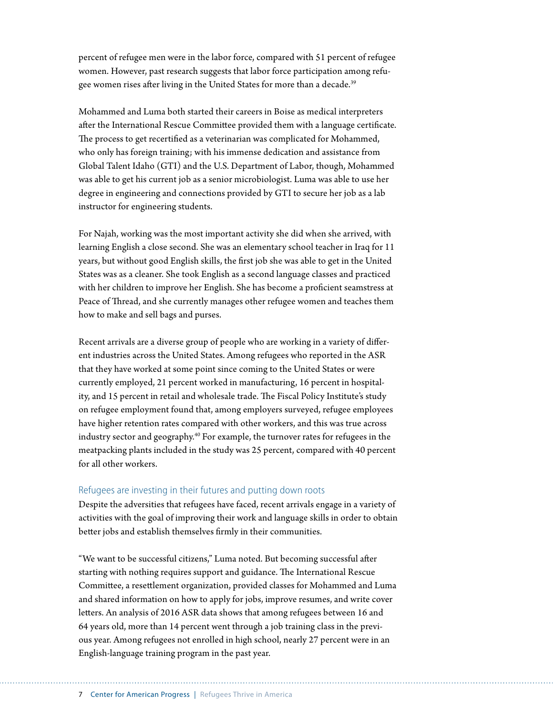percent of refugee men were in the labor force, compared with 51 percent of refugee women. However, past research suggests that labor force participation among refugee women rises after living in the United States for more than a decade.<sup>39</sup>

Mohammed and Luma both started their careers in Boise as medical interpreters after the International Rescue Committee provided them with a language certificate. The process to get recertified as a veterinarian was complicated for Mohammed, who only has foreign training; with his immense dedication and assistance from Global Talent Idaho (GTI) and the U.S. Department of Labor, though, Mohammed was able to get his current job as a senior microbiologist. Luma was able to use her degree in engineering and connections provided by GTI to secure her job as a lab instructor for engineering students.

For Najah, working was the most important activity she did when she arrived, with learning English a close second. She was an elementary school teacher in Iraq for 11 years, but without good English skills, the first job she was able to get in the United States was as a cleaner. She took English as a second language classes and practiced with her children to improve her English. She has become a proficient seamstress at Peace of Thread, and she currently manages other refugee women and teaches them how to make and sell bags and purses.

Recent arrivals are a diverse group of people who are working in a variety of different industries across the United States. Among refugees who reported in the ASR that they have worked at some point since coming to the United States or were currently employed, 21 percent worked in manufacturing, 16 percent in hospitality, and 15 percent in retail and wholesale trade. The Fiscal Policy Institute's study on refugee employment found that, among employers surveyed, refugee employees have higher retention rates compared with other workers, and this was true across industry sector and geography.40 For example, the turnover rates for refugees in the meatpacking plants included in the study was 25 percent, compared with 40 percent for all other workers.

#### Refugees are investing in their futures and putting down roots

Despite the adversities that refugees have faced, recent arrivals engage in a variety of activities with the goal of improving their work and language skills in order to obtain better jobs and establish themselves firmly in their communities.

"We want to be successful citizens," Luma noted. But becoming successful after starting with nothing requires support and guidance. The International Rescue Committee, a resettlement organization, provided classes for Mohammed and Luma and shared information on how to apply for jobs, improve resumes, and write cover letters. An analysis of 2016 ASR data shows that among refugees between 16 and 64 years old, more than 14 percent went through a job training class in the previous year. Among refugees not enrolled in high school, nearly 27 percent were in an English-language training program in the past year.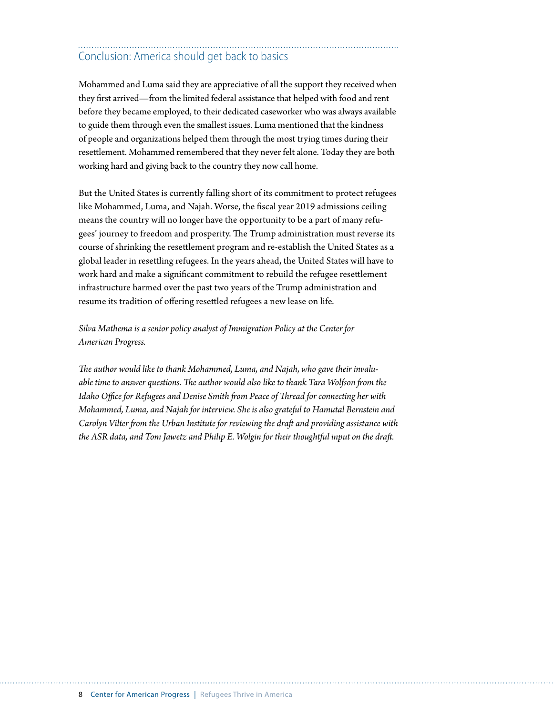## Conclusion: America should get back to basics

Mohammed and Luma said they are appreciative of all the support they received when they first arrived—from the limited federal assistance that helped with food and rent before they became employed, to their dedicated caseworker who was always available to guide them through even the smallest issues. Luma mentioned that the kindness of people and organizations helped them through the most trying times during their resettlement. Mohammed remembered that they never felt alone. Today they are both working hard and giving back to the country they now call home.

But the United States is currently falling short of its commitment to protect refugees like Mohammed, Luma, and Najah. Worse, the fiscal year 2019 admissions ceiling means the country will no longer have the opportunity to be a part of many refugees' journey to freedom and prosperity. The Trump administration must reverse its course of shrinking the resettlement program and re-establish the United States as a global leader in resettling refugees. In the years ahead, the United States will have to work hard and make a significant commitment to rebuild the refugee resettlement infrastructure harmed over the past two years of the Trump administration and resume its tradition of offering resettled refugees a new lease on life.

*Silva Mathema is a senior policy analyst of Immigration Policy at the Center for American Progress.*

*The author would like to thank Mohammed, Luma, and Najah, who gave their invaluable time to answer questions. The author would also like to thank Tara Wolfson from the Idaho Office for Refugees and Denise Smith from Peace of Thread for connecting her with Mohammed, Luma, and Najah for interview. She is also grateful to Hamutal Bernstein and Carolyn Vilter from the Urban Institute for reviewing the draft and providing assistance with the ASR data, and Tom Jawetz and Philip E. Wolgin for their thoughtful input on the draft.*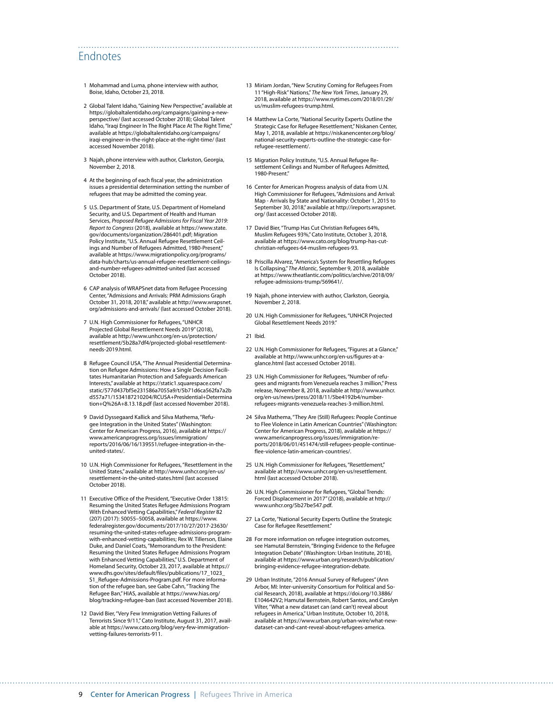### Endnotes

- 1 Mohammad and Luma, phone interview with author, Boise, Idaho, October 23, 2018.
- 2 Global Talent Idaho, "Gaining New Perspective," available at [https://globaltalentidaho.org/campaigns/gaining-a-new](https://globaltalentidaho.org/campaigns/gaining-a-new-perspective/)[perspective/](https://globaltalentidaho.org/campaigns/gaining-a-new-perspective/) (last accessed October 2018); Global Talent Idaho, "Iraqi Engineer In The Right Place At The Right Time," available at [https://globaltalentidaho.org/campaigns/](https://globaltalentidaho.org/campaigns/iraqi-engineer-in-the-right-place-at-the-right-time/) [iraqi-engineer-in-the-right-place-at-the-right-time/](https://globaltalentidaho.org/campaigns/iraqi-engineer-in-the-right-place-at-the-right-time/) (last accessed November 2018).
- 3 Najah, phone interview with author, Clarkston, Georgia, November 2, 2018.
- 4 At the beginning of each fiscal year, the administration issues a presidential determination setting the number of refugees that may be admitted the coming year.
- 5 U.S. Department of State, U.S. Department of Homeland Security, and U.S. Department of Health and Human Services, *Proposed Refugee Admissions for Fiscal Year 2019: Report to Congress* (2018), available at [https://www.state.](https://www.state.gov/documents/organization/286401.pdf) [gov/documents/organization/286401.pdf;](https://www.state.gov/documents/organization/286401.pdf) Migration Policy Institute, "U.S. Annual Refugee Resettlement Ceilings and Number of Refugees Admitted, 1980-Present," available at [https://www.migrationpolicy.org/programs/](https://www.migrationpolicy.org/programs/data-hub/charts/us-annual-refugee-resettlement-ceilings-and-number-refugees-admitted-united) [data-hub/charts/us-annual-refugee-resettlement-ceilings](https://www.migrationpolicy.org/programs/data-hub/charts/us-annual-refugee-resettlement-ceilings-and-number-refugees-admitted-united)[and-number-refugees-admitted-united](https://www.migrationpolicy.org/programs/data-hub/charts/us-annual-refugee-resettlement-ceilings-and-number-refugees-admitted-united) (last accessed October 2018).
- 6 CAP analysis of WRAPSnet data from Refugee Processing Center, "Admissions and Arrivals: PRM Admissions Graph October 31, 2018, 2018," available at [http://www.wrapsnet.](http://www.wrapsnet.org/admissions-and-arrivals/) [org/admissions-and-arrivals/](http://www.wrapsnet.org/admissions-and-arrivals/) (last accessed October 2018).
- 7 U.N. High Commissioner for Refugees, "UNHCR Projected Global Resettlement Needs 2019" (2018), available at [http://www.unhcr.org/en-us/protection/](http://www.unhcr.org/en-us/protection/resettlement/5b28a7df4/projected-global-resettlement-needs-2019.html) [resettlement/5b28a7df4/projected-global-resettlement](http://www.unhcr.org/en-us/protection/resettlement/5b28a7df4/projected-global-resettlement-needs-2019.html)[needs-2019.html.](http://www.unhcr.org/en-us/protection/resettlement/5b28a7df4/projected-global-resettlement-needs-2019.html)
- 8 Refugee Council USA, "The Annual Presidential Determination on Refugee Admissions: How a Single Decision Facilitates Humanitarian Protection and Safeguards American Interests," available at [https://static1.squarespace.com/](https://static1.squarespace.com/static/577d437bf5e231586a7055a9/t/5b71d6ca562fa7a2bd557a71/1534187210204/RCUSA+Presidential+Determination+Q%26A+8.13.18.pdf) [static/577d437bf5e231586a7055a9/t/5b71d6ca562fa7a2b](https://static1.squarespace.com/static/577d437bf5e231586a7055a9/t/5b71d6ca562fa7a2bd557a71/1534187210204/RCUSA+Presidential+Determination+Q%26A+8.13.18.pdf) [d557a71/1534187210204/RCUSA+Presidential+Determina](https://static1.squarespace.com/static/577d437bf5e231586a7055a9/t/5b71d6ca562fa7a2bd557a71/1534187210204/RCUSA+Presidential+Determination+Q%26A+8.13.18.pdf) [tion+Q%26A+8.13.18.pdf](https://static1.squarespace.com/static/577d437bf5e231586a7055a9/t/5b71d6ca562fa7a2bd557a71/1534187210204/RCUSA+Presidential+Determination+Q%26A+8.13.18.pdf) (last accessed November 2018).
- 9 David Dyssegaard Kallick and Silva Mathema, "Refugee Integration in the United States" (Washington: Center for American Progress, 2016), available at [https://](https://www.americanprogress.org/issues/immigration/reports/2016/06/16/139551/refugee-integration-in-the-united-states/) [www.americanprogress.org/issues/immigration/](https://www.americanprogress.org/issues/immigration/reports/2016/06/16/139551/refugee-integration-in-the-united-states/) [reports/2016/06/16/139551/refugee-integration-in-the](https://www.americanprogress.org/issues/immigration/reports/2016/06/16/139551/refugee-integration-in-the-united-states/)[united-states/.](https://www.americanprogress.org/issues/immigration/reports/2016/06/16/139551/refugee-integration-in-the-united-states/)
- 10 U.N. High Commissioner for Refugees, "Resettlement in the United States," available at [http://www.unhcr.org/en-us/](http://www.unhcr.org/en-us/resettlement-in-the-united-states.html) [resettlement-in-the-united-states.html](http://www.unhcr.org/en-us/resettlement-in-the-united-states.html) (last accessed October 2018).
- 11 Executive Office of the President, "Executive Order 13815: Resuming the United States Refugee Admissions Program With Enhanced Vetting Capabilities," *Federal Register* 82 (207) (2017): 50055–50058, available at [https://www.](https://www.federalregister.gov/documents/2017/10/27/2017-23630/resuming-the-united-states-refugee-admissions-program-with-enhanced-vetting-capabilities) [federalregister.gov/documents/2017/10/27/2017-23630/](https://www.federalregister.gov/documents/2017/10/27/2017-23630/resuming-the-united-states-refugee-admissions-program-with-enhanced-vetting-capabilities) [resuming-the-united-states-refugee-admissions-program](https://www.federalregister.gov/documents/2017/10/27/2017-23630/resuming-the-united-states-refugee-admissions-program-with-enhanced-vetting-capabilities)[with-enhanced-vetting-capabilities](https://www.federalregister.gov/documents/2017/10/27/2017-23630/resuming-the-united-states-refugee-admissions-program-with-enhanced-vetting-capabilities); Rex W. Tillerson, Elaine Duke, and Daniel Coats, "Memorandum to the President: Resuming the United States Refugee Admissions Program with Enhanced Vetting Capabilities," U.S. Department of Homeland Security, October 23, 2017, available at [https://](https://www.dhs.gov/sites/default/files/publications/17_1023_S1_Refugee-Admissions-Program.pdf) [www.dhs.gov/sites/default/files/publications/17\\_1023\\_](https://www.dhs.gov/sites/default/files/publications/17_1023_S1_Refugee-Admissions-Program.pdf) [S1\\_Refugee-Admissions-Program.pdf.](https://www.dhs.gov/sites/default/files/publications/17_1023_S1_Refugee-Admissions-Program.pdf) For more information of the refugee ban, see Gabe Cahn, "Tracking The Refugee Ban," HIAS, available at [https://www.hias.org/](https://www.hias.org/blog/tracking-refugee-ban) [blog/tracking-refugee-ban](https://www.hias.org/blog/tracking-refugee-ban) (last accessed November 2018).
- 12 David Bier, "Very Few Immigration Vetting Failures of Terrorists Since 9/11," Cato Institute, August 31, 2017, available at [https://www.cato.org/blog/very-few-immigration](https://www.cato.org/blog/very-few-immigration-vetting-failures-terrorists-911)[vetting-failures-terrorists-911](https://www.cato.org/blog/very-few-immigration-vetting-failures-terrorists-911).
- 13 Miriam Jordan, "New Scrutiny Coming for Refugees From 11 "High-Risk" Nations," *The New York Times*, January 29, 2018, available at [https://www.nytimes.com/2018/01/29/](https://www.nytimes.com/2018/01/29/us/muslim-refugees-trump.html) [us/muslim-refugees-trump.html.](https://www.nytimes.com/2018/01/29/us/muslim-refugees-trump.html)
- 14 Matthew La Corte, "National Security Experts Outline the Strategic Case for Refugee Resettlement," Niskanen Center, May 1, 2018, available at [https://niskanencenter.org/blog/](https://niskanencenter.org/blog/national-security-experts-outline-the-strategic-case-for-refugee-resettlement/) [national-security-experts-outline-the-strategic-case-for](https://niskanencenter.org/blog/national-security-experts-outline-the-strategic-case-for-refugee-resettlement/)[refugee-resettlement/](https://niskanencenter.org/blog/national-security-experts-outline-the-strategic-case-for-refugee-resettlement/).
- 15 Migration Policy Institute, "U.S. Annual Refugee Resettlement Ceilings and Number of Refugees Admitted, 1980-Present."
- 16 Center for American Progress analysis of data from U.N. High Commissioner for Refugees, "Admissions and Arrival: Map - Arrivals by State and Nationality: October 1, 2015 to September 30, 2018," available at [http://ireports.wrapsnet.](http://ireports.wrapsnet.org/) [org/](http://ireports.wrapsnet.org/) (last accessed October 2018).
- 17 David Bier, "Trump Has Cut Christian Refugees 64%, Muslim Refugees 93%," Cato Institute, October 3, 2018, available at [https://www.cato.org/blog/trump-has-cut](https://www.cato.org/blog/trump-has-cut-christian-refugees-64-muslim-refugees-93)[christian-refugees-64-muslim-refugees-93.](https://www.cato.org/blog/trump-has-cut-christian-refugees-64-muslim-refugees-93)
- 18 Priscilla Alvarez, "America's System for Resettling Refugees Is Collapsing," *The Atlantic*, September 9, 2018, available at [https://www.theatlantic.com/politics/archive/2018/09/](https://www.theatlantic.com/politics/archive/2018/09/refugee-admissions-trump/569641/) [refugee-admissions-trump/569641/.](https://www.theatlantic.com/politics/archive/2018/09/refugee-admissions-trump/569641/)
- 19 Najah, phone interview with author, Clarkston, Georgia, November 2, 2018.
- 20 U.N. High Commissioner for Refugees, "UNHCR Projected Global Resettlement Needs 2019."
- 21 Ibid.

- 22 U.N. High Commissioner for Refugees, "Figures at a Glance," available at [http://www.unhcr.org/en-us/figures-at-a](http://www.unhcr.org/en-us/figures-at-a-glance.html)[glance.html](http://www.unhcr.org/en-us/figures-at-a-glance.html) (last accessed October 2018).
- 23 U.N. High Commissioner for Refugees, "Number of refugees and migrants from Venezuela reaches 3 million," Press release, November 8, 2018, available at [http://www.unhcr.](http://www.unhcr.org/en-us/news/press/2018/11/5be4192b4/number-refugees-migrants-venezuela-reaches-3-million.html) [org/en-us/news/press/2018/11/5be4192b4/number](http://www.unhcr.org/en-us/news/press/2018/11/5be4192b4/number-refugees-migrants-venezuela-reaches-3-million.html)[refugees-migrants-venezuela-reaches-3-million.html.](http://www.unhcr.org/en-us/news/press/2018/11/5be4192b4/number-refugees-migrants-venezuela-reaches-3-million.html)
- 24 Silva Mathema, "They Are (Still) Refugees: People Continue to Flee Violence in Latin American Countries" (Washington: Center for American Progress, 2018), available at [https://](https://www.americanprogress.org/issues/immigration/reports/2018/06/01/451474/still-refugees-people-continue-flee-violence-latin-american-countries/) [www.americanprogress.org/issues/immigration/re](https://www.americanprogress.org/issues/immigration/reports/2018/06/01/451474/still-refugees-people-continue-flee-violence-latin-american-countries/)[ports/2018/06/01/451474/still-refugees-people-continue](https://www.americanprogress.org/issues/immigration/reports/2018/06/01/451474/still-refugees-people-continue-flee-violence-latin-american-countries/)[flee-violence-latin-american-countries/.](https://www.americanprogress.org/issues/immigration/reports/2018/06/01/451474/still-refugees-people-continue-flee-violence-latin-american-countries/)
- 25 U.N. High Commissioner for Refugees, "Resettlement," available at [http://www.unhcr.org/en-us/resettlement.](http://www.unhcr.org/en-us/resettlement.html) [html](http://www.unhcr.org/en-us/resettlement.html) (last accessed October 2018).
- 26 U.N. High Commissioner for Refugees, "Global Trends: Forced Displacement in 2017" (2018), available at [http://](http://www.unhcr.org/5b27be547.pdf) [www.unhcr.org/5b27be547.pdf](http://www.unhcr.org/5b27be547.pdf).
- 27 La Corte, "National Security Experts Outline the Strategic Case for Refugee Resettlement."
- 28 For more information on refugee integration outcomes, see Hamutal Bernstein, "Bringing Evidence to the Refugee Integration Debate" (Washington: Urban Institute, 2018), available at [https://www.urban.org/research/publication/](https://www.urban.org/research/publication/bringing-evidence-refugee-integration-debate) [bringing-evidence-refugee-integration-debate.](https://www.urban.org/research/publication/bringing-evidence-refugee-integration-debate)
- 29 Urban Institute, "2016 Annual Survey of Refugees" (Ann Arbor, MI: Inter-university Consortium for Political and Social Research, 2018), available at [https://doi.org/10.3886/](https://doi.org/10.3886/E104642V2) [E104642V2](https://doi.org/10.3886/E104642V2); Hamutal Bernstein, Robert Santos, and Carolyn Vilter, "What a new dataset can (and can't) reveal about refugees in America," Urban Institute, October 10, 2018, available at [https://www.urban.org/urban-wire/what-new](https://www.urban.org/urban-wire/what-new-dataset-can-and-cant-reveal-about-refugees-america)[dataset-can-and-cant-reveal-about-refugees-america](https://www.urban.org/urban-wire/what-new-dataset-can-and-cant-reveal-about-refugees-america).